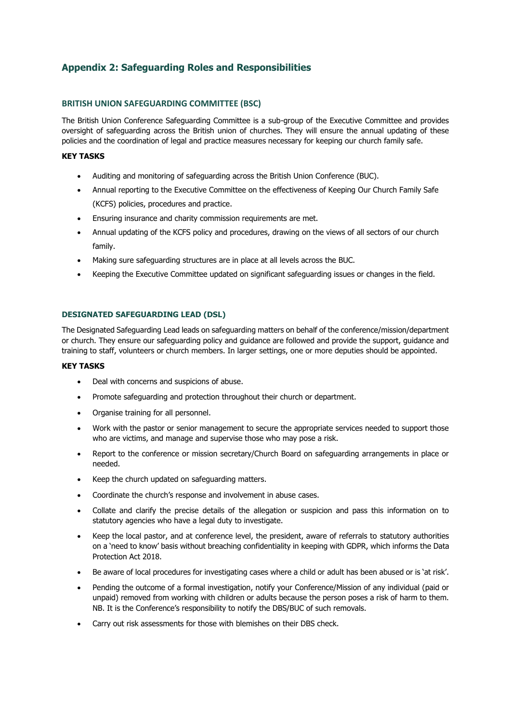# **Appendix 2: Safeguarding Roles and Responsibilities**

# **BRITISH UNION SAFEGUARDING COMMITTEE (BSC)**

The British Union Conference Safeguarding Committee is a sub-group of the Executive Committee and provides oversight of safeguarding across the British union of churches. They will ensure the annual updating of these policies and the coordination of legal and practice measures necessary for keeping our church family safe.

## **KEY TASKS**

- Auditing and monitoring of safeguarding across the British Union Conference (BUC).
- Annual reporting to the Executive Committee on the effectiveness of Keeping Our Church Family Safe (KCFS) policies, procedures and practice.
- Ensuring insurance and charity commission requirements are met.
- Annual updating of the KCFS policy and procedures, drawing on the views of all sectors of our church family.
- Making sure safeguarding structures are in place at all levels across the BUC.
- Keeping the Executive Committee updated on significant safeguarding issues or changes in the field.

# **DESIGNATED SAFEGUARDING LEAD (DSL)**

The Designated Safeguarding Lead leads on safeguarding matters on behalf of the conference/mission/department or church. They ensure our safeguarding policy and guidance are followed and provide the support, guidance and training to staff, volunteers or church members. In larger settings, one or more deputies should be appointed.

## **KEY TASKS**

- Deal with concerns and suspicions of abuse.
- Promote safeguarding and protection throughout their church or department.
- Organise training for all personnel.
- Work with the pastor or senior management to secure the appropriate services needed to support those who are victims, and manage and supervise those who may pose a risk.
- Report to the conference or mission secretary/Church Board on safeguarding arrangements in place or needed.
- Keep the church updated on safeguarding matters.
- Coordinate the church's response and involvement in abuse cases.
- Collate and clarify the precise details of the allegation or suspicion and pass this information on to statutory agencies who have a legal duty to investigate.
- Keep the local pastor, and at conference level, the president, aware of referrals to statutory authorities on a 'need to know' basis without breaching confidentiality in keeping with GDPR, which informs the Data Protection Act 2018.
- Be aware of local procedures for investigating cases where a child or adult has been abused or is 'at risk'.
- Pending the outcome of a formal investigation, notify your Conference/Mission of any individual (paid or unpaid) removed from working with children or adults because the person poses a risk of harm to them. NB. It is the Conference's responsibility to notify the DBS/BUC of such removals.
- Carry out risk assessments for those with blemishes on their DBS check.